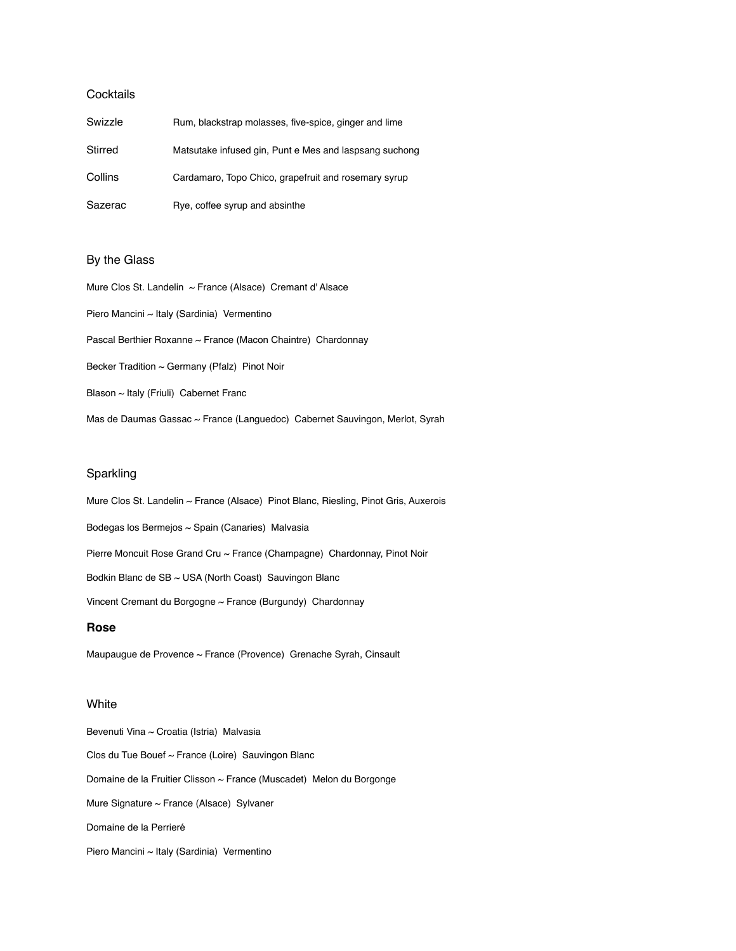# **Cocktails**

| Swizzle | Rum, blackstrap molasses, five-spice, ginger and lime  |
|---------|--------------------------------------------------------|
| Stirred | Matsutake infused gin, Punt e Mes and laspsang suchong |
| Collins | Cardamaro, Topo Chico, grapefruit and rosemary syrup   |
| Sazerac | Rye, coffee syrup and absinthe                         |

# By the Glass

Mure Clos St. Landelin ~ France (Alsace) Cremant d'Alsace Piero Mancini ~ Italy (Sardinia) Vermentino Pascal Berthier Roxanne ~ France (Macon Chaintre) Chardonnay Becker Tradition ~ Germany (Pfalz) Pinot Noir Blason ~ Italy (Friuli) Cabernet Franc Mas de Daumas Gassac ~ France (Languedoc) Cabernet Sauvingon, Merlot, Syrah

## Sparkling

Mure Clos St. Landelin ~ France (Alsace) Pinot Blanc, Riesling, Pinot Gris, Auxerois Bodegas los Bermejos ~ Spain (Canaries) Malvasia Pierre Moncuit Rose Grand Cru ~ France (Champagne) Chardonnay, Pinot Noir Bodkin Blanc de SB ~ USA (North Coast) Sauvingon Blanc Vincent Cremant du Borgogne ~ France (Burgundy) Chardonnay

### **Rose**

Maupaugue de Provence ~ France (Provence) Grenache Syrah, Cinsault

## **White**

Bevenuti Vina ~ Croatia (Istria) Malvasia Clos du Tue Bouef ~ France (Loire) Sauvingon Blanc Domaine de la Fruitier Clisson ~ France (Muscadet) Melon du Borgonge Mure Signature ~ France (Alsace) Sylvaner Domaine de la Perrieré Piero Mancini ~ Italy (Sardinia) Vermentino